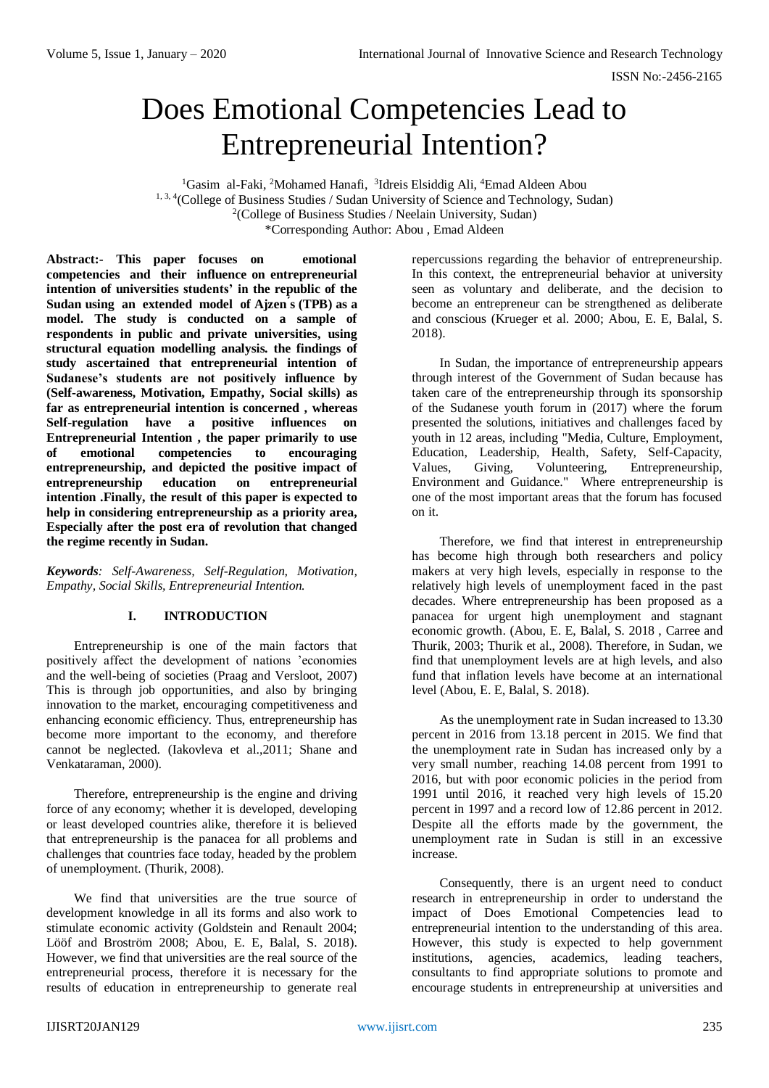# Does Emotional Competencies Lead to Entrepreneurial Intention?

<sup>1</sup>Gasim al-Faki, <sup>2</sup>Mohamed Hanafi, <sup>3</sup>Idreis Elsiddig Ali, <sup>4</sup>Emad Aldeen Abou <sup>1, 3, 4</sup> (College of Business Studies / Sudan University of Science and Technology, Sudan) <sup>2</sup>(College of Business Studies / Neelain University, Sudan) \*Corresponding Author: Abou , Emad Aldeen

**Abstract:- This paper focuses on emotional competencies and their influence on entrepreneurial intention of universities students' in the republic of the Sudan using an extended model of Ajzen ́s (TPB) as a model. The study is conducted on a sample of respondents in public and private universities, using structural equation modelling analysis. the findings of study ascertained that entrepreneurial intention of Sudanese's students are not positively influence by (Self-awareness, Motivation, Empathy, Social skills) as far as entrepreneurial intention is concerned , whereas Self-regulation have a positive influences on Entrepreneurial Intention , the paper primarily to use of emotional competencies to encouraging entrepreneurship, and depicted the positive impact of entrepreneurship education on entrepreneurial intention .Finally, the result of this paper is expected to help in considering entrepreneurship as a priority area, Especially after the post era of revolution that changed the regime recently in Sudan.**

*Keywords: Self-Awareness, Self-Regulation, Motivation, Empathy, Social Skills, Entrepreneurial Intention.*

# **I. INTRODUCTION**

Entrepreneurship is one of the main factors that positively affect the development of nations 'economies and the well-being of societies (Praag and Versloot, 2007) This is through job opportunities, and also by bringing innovation to the market, encouraging competitiveness and enhancing economic efficiency. Thus, entrepreneurship has become more important to the economy, and therefore cannot be neglected. (Iakovleva et al.,2011; Shane and Venkataraman, 2000).

Therefore, entrepreneurship is the engine and driving force of any economy; whether it is developed, developing or least developed countries alike, therefore it is believed that entrepreneurship is the panacea for all problems and challenges that countries face today, headed by the problem of unemployment. (Thurik, 2008).

We find that universities are the true source of development knowledge in all its forms and also work to stimulate economic activity (Goldstein and Renault 2004; Lööf and Broström 2008; Abou, E. E, Balal, S. 2018). However, we find that universities are the real source of the entrepreneurial process, therefore it is necessary for the results of education in entrepreneurship to generate real

repercussions regarding the behavior of entrepreneurship. In this context, the entrepreneurial behavior at university seen as voluntary and deliberate, and the decision to become an entrepreneur can be strengthened as deliberate and conscious (Krueger et al. 2000; Abou, E. E, Balal, S. 2018).

In Sudan, the importance of entrepreneurship appears through interest of the Government of Sudan because has taken care of the entrepreneurship through its sponsorship of the Sudanese youth forum in (2017) where the forum presented the solutions, initiatives and challenges faced by youth in 12 areas, including "Media, Culture, Employment, Education, Leadership, Health, Safety, Self-Capacity, Values, Giving, Volunteering, Entrepreneurship, Environment and Guidance." Where entrepreneurship is one of the most important areas that the forum has focused on it.

Therefore, we find that interest in entrepreneurship has become high through both researchers and policy makers at very high levels, especially in response to the relatively high levels of unemployment faced in the past decades. Where entrepreneurship has been proposed as a panacea for urgent high unemployment and stagnant economic growth. (Abou, E. E, Balal, S. 2018 , Carree and Thurik, 2003; Thurik et al., 2008). Therefore, in Sudan, we find that unemployment levels are at high levels, and also fund that inflation levels have become at an international level (Abou, E. E, Balal, S. 2018).

As the unemployment rate in Sudan increased to 13.30 percent in 2016 from 13.18 percent in 2015. We find that the unemployment rate in Sudan has increased only by a very small number, reaching 14.08 percent from 1991 to 2016, but with poor economic policies in the period from 1991 until 2016, it reached very high levels of 15.20 percent in 1997 and a record low of 12.86 percent in 2012. Despite all the efforts made by the government, the unemployment rate in Sudan is still in an excessive increase.

Consequently, there is an urgent need to conduct research in entrepreneurship in order to understand the impact of Does Emotional Competencies lead to entrepreneurial intention to the understanding of this area. However, this study is expected to help government institutions, agencies, academics, leading teachers, consultants to find appropriate solutions to promote and encourage students in entrepreneurship at universities and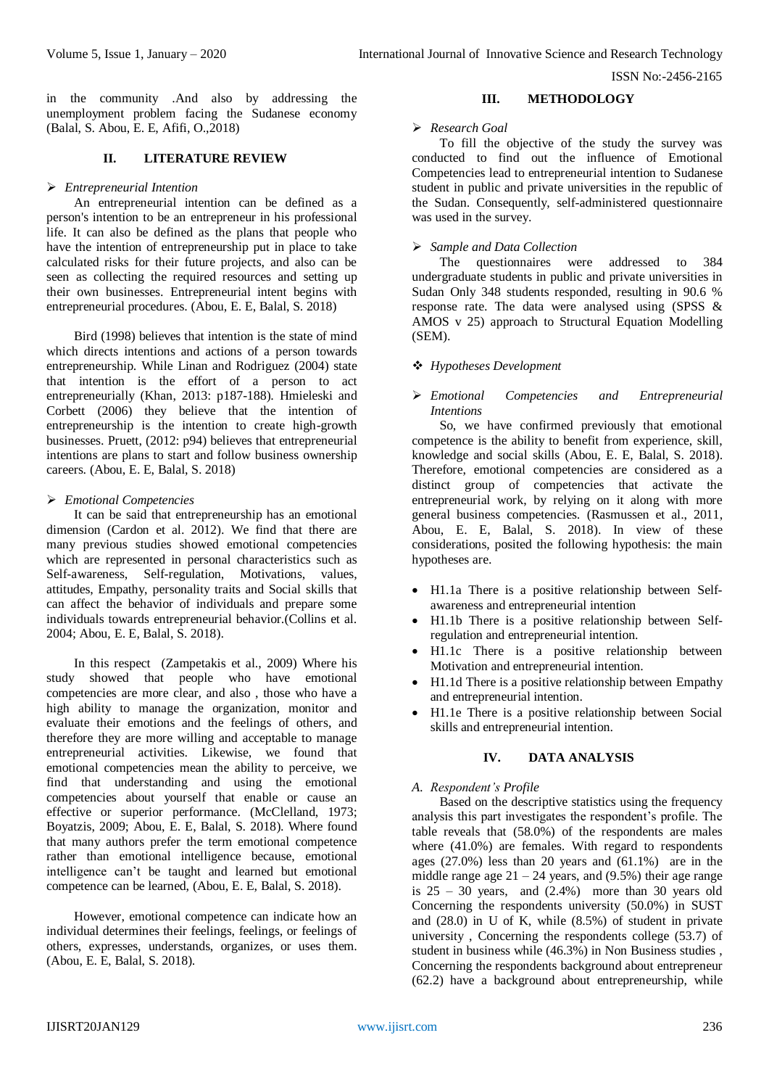in the community .And also by addressing the unemployment problem facing the Sudanese economy (Balal, S. Abou, E. E, Afifi, O.,2018)

## **II. LITERATURE REVIEW**

#### *Entrepreneurial Intention*

An entrepreneurial intention can be defined as a person's intention to be an entrepreneur in his professional life. It can also be defined as the plans that people who have the intention of entrepreneurship put in place to take calculated risks for their future projects, and also can be seen as collecting the required resources and setting up their own businesses. Entrepreneurial intent begins with entrepreneurial procedures. (Abou, E. E, Balal, S. 2018)

Bird (1998) believes that intention is the state of mind which directs intentions and actions of a person towards entrepreneurship. While Linan and Rodriguez (2004) state that intention is the effort of a person to act entrepreneurially (Khan, 2013: p187-188). Hmieleski and Corbett (2006) they believe that the intention of entrepreneurship is the intention to create high-growth businesses. Pruett, (2012: p94) believes that entrepreneurial intentions are plans to start and follow business ownership careers. (Abou, E. E, Balal, S. 2018)

#### *Emotional Competencies*

It can be said that entrepreneurship has an emotional dimension (Cardon et al. 2012). We find that there are many previous studies showed emotional competencies which are represented in personal characteristics such as Self-awareness, Self-regulation, Motivations, values, attitudes, Empathy, personality traits and Social skills that can affect the behavior of individuals and prepare some individuals towards entrepreneurial behavior.(Collins et al. 2004; Abou, E. E, Balal, S. 2018).

In this respect (Zampetakis et al., 2009) Where his study showed that people who have emotional competencies are more clear, and also , those who have a high ability to manage the organization, monitor and evaluate their emotions and the feelings of others, and therefore they are more willing and acceptable to manage entrepreneurial activities. Likewise, we found that emotional competencies mean the ability to perceive, we find that understanding and using the emotional competencies about yourself that enable or cause an effective or superior performance. (McClelland, 1973; Boyatzis, 2009; Abou, E. E, Balal, S. 2018). Where found that many authors prefer the term emotional competence rather than emotional intelligence because, emotional intelligence can't be taught and learned but emotional competence can be learned, (Abou, E. E, Balal, S. 2018).

However, emotional competence can indicate how an individual determines their feelings, feelings, or feelings of others, expresses, understands, organizes, or uses them. (Abou, E. E, Balal, S. 2018).

#### **III. METHODOLOGY**

#### *Research Goal*

To fill the objective of the study the survey was conducted to find out the influence of Emotional Competencies lead to entrepreneurial intention to Sudanese student in public and private universities in the republic of the Sudan. Consequently, self-administered questionnaire was used in the survey.

## *Sample and Data Collection*

The questionnaires were addressed to 384 undergraduate students in public and private universities in Sudan Only 348 students responded, resulting in 90.6 % response rate. The data were analysed using (SPSS  $\&$ AMOS v 25) approach to Structural Equation Modelling (SEM).

#### *Hypotheses Development*

#### *Emotional Competencies and Entrepreneurial Intentions*

So, we have confirmed previously that emotional competence is the ability to benefit from experience, skill, knowledge and social skills (Abou, E. E, Balal, S. 2018). Therefore, emotional competencies are considered as a distinct group of competencies that activate the entrepreneurial work, by relying on it along with more general business competencies. (Rasmussen et al., 2011, Abou, E. E, Balal, S. 2018). In view of these considerations, posited the following hypothesis: the main hypotheses are.

- H1.1a There is a positive relationship between Selfawareness and entrepreneurial intention
- H1.1b There is a positive relationship between Selfregulation and entrepreneurial intention.
- H1.1c There is a positive relationship between Motivation and entrepreneurial intention.
- H1.1d There is a positive relationship between Empathy and entrepreneurial intention.
- H1.1e There is a positive relationship between Social skills and entrepreneurial intention.

#### **IV. DATA ANALYSIS**

#### *A. Respondent's Profile*

Based on the descriptive statistics using the frequency analysis this part investigates the respondent's profile. The table reveals that  $(58.0\%)$  of the respondents are males where (41.0%) are females. With regard to respondents ages  $(27.0\%)$  less than 20 years and  $(61.1\%)$  are in the middle range age  $21 - 24$  years, and (9.5%) their age range is  $25 - 30$  years, and  $(2.4%)$  more than 30 years old Concerning the respondents university (50.0%) in SUST and (28.0) in U of K, while (8.5%) of student in private university , Concerning the respondents college (53.7) of student in business while (46.3%) in Non Business studies , Concerning the respondents background about entrepreneur (62.2) have a background about entrepreneurship, while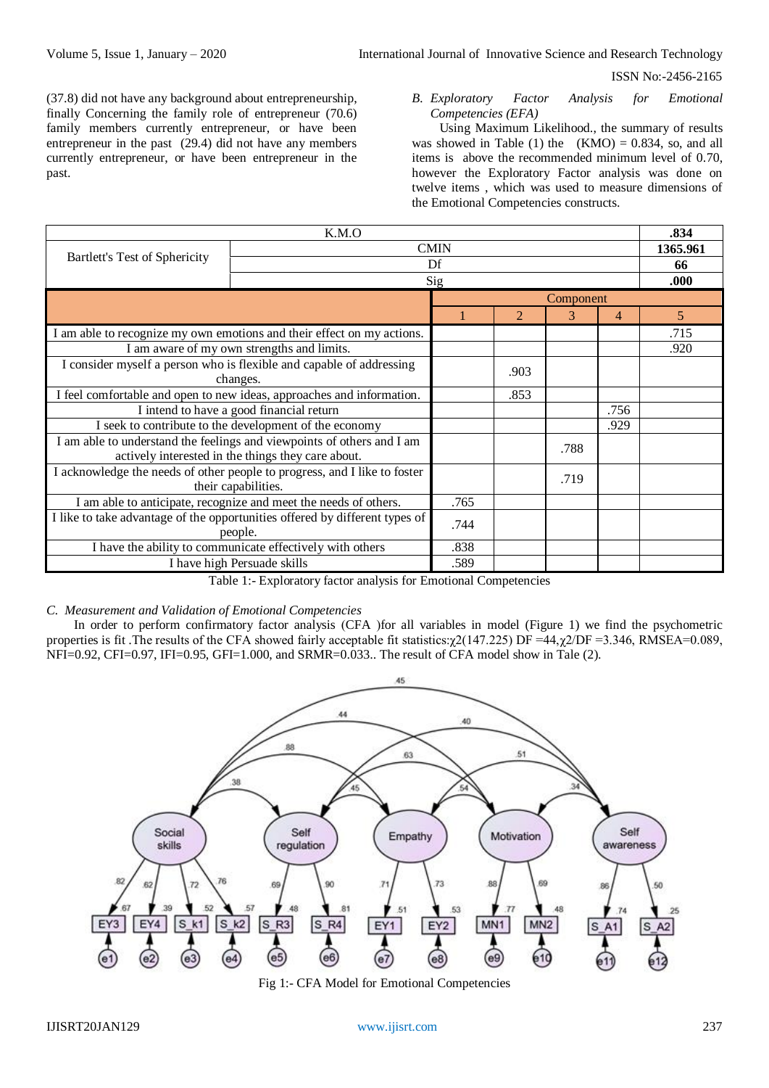(37.8) did not have any background about entrepreneurship, finally Concerning the family role of entrepreneur (70.6) family members currently entrepreneur, or have been entrepreneur in the past (29.4) did not have any members currently entrepreneur, or have been entrepreneur in the past.

*B. Exploratory Factor Analysis for Emotional Competencies (EFA)* 

Using Maximum Likelihood., the summary of results was showed in Table (1) the  $(KMO) = 0.834$ , so, and all items is above the recommended minimum level of 0.70, however the Exploratory Factor analysis was done on twelve items , which was used to measure dimensions of the Emotional Competencies constructs.

| K.M.O                                                                                                                        |                                                        |           |      |      |      |                |
|------------------------------------------------------------------------------------------------------------------------------|--------------------------------------------------------|-----------|------|------|------|----------------|
|                                                                                                                              | <b>CMIN</b>                                            | 1365.961  |      |      |      |                |
| Bartlett's Test of Sphericity                                                                                                | Df                                                     | 66        |      |      |      |                |
|                                                                                                                              |                                                        | Sig       | .000 |      |      |                |
|                                                                                                                              |                                                        | Component |      |      |      |                |
|                                                                                                                              |                                                        |           | 2    | 3    | 4    | $\overline{5}$ |
| I am able to recognize my own emotions and their effect on my actions.                                                       |                                                        |           |      |      |      | .715           |
|                                                                                                                              | I am aware of my own strengths and limits.             |           |      |      |      | .920           |
| I consider myself a person who is flexible and capable of addressing                                                         |                                                        |           | .903 |      |      |                |
| changes.                                                                                                                     |                                                        |           |      |      |      |                |
| I feel comfortable and open to new ideas, approaches and information.                                                        |                                                        |           | .853 |      |      |                |
| I intend to have a good financial return                                                                                     |                                                        |           |      |      | .756 |                |
|                                                                                                                              | I seek to contribute to the development of the economy |           |      |      | .929 |                |
| I am able to understand the feelings and viewpoints of others and I am<br>actively interested in the things they care about. |                                                        |           |      | .788 |      |                |
| I acknowledge the needs of other people to progress, and I like to foster<br>their capabilities.                             |                                                        |           |      | .719 |      |                |
| I am able to anticipate, recognize and meet the needs of others.                                                             |                                                        |           |      |      |      |                |
| I like to take advantage of the opportunities offered by different types of<br>people.                                       |                                                        |           |      |      |      |                |
| I have the ability to communicate effectively with others                                                                    |                                                        |           |      |      |      |                |
| I have high Persuade skills                                                                                                  |                                                        |           |      |      |      |                |

Table 1:- Exploratory factor analysis for Emotional Competencies

#### *C. Measurement and Validation of Emotional Competencies*

In order to perform confirmatory factor analysis (CFA ) for all variables in model (Figure 1) we find the psychometric properties is fit. The results of the CFA showed fairly acceptable fit statistics: $\chi$ 2(147.225) DF =44, $\chi$ 2/DF =3.346, RMSEA=0.089, NFI=0.92, CFI=0.97, IFI=0.95, GFI=1.000, and SRMR=0.033.. The result of CFA model show in Tale (2).



Fig 1:- CFA Model for Emotional Competencies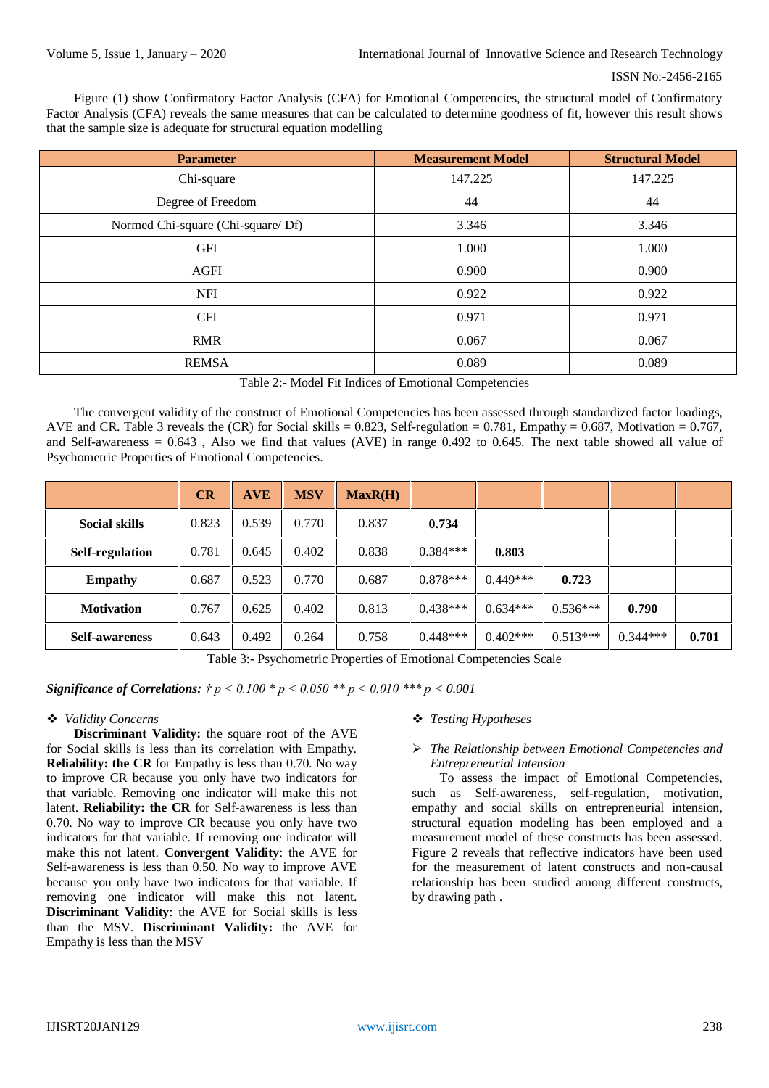Figure (1) show Confirmatory Factor Analysis (CFA) for Emotional Competencies, the structural model of Confirmatory Factor Analysis (CFA) reveals the same measures that can be calculated to determine goodness of fit, however this result shows that the sample size is adequate for structural equation modelling

| <b>Parameter</b>                  | <b>Measurement Model</b> | <b>Structural Model</b> |
|-----------------------------------|--------------------------|-------------------------|
| Chi-square                        | 147.225                  | 147.225                 |
| Degree of Freedom                 | 44                       | 44                      |
| Normed Chi-square (Chi-square/Df) | 3.346                    | 3.346                   |
| <b>GFI</b>                        | 1.000                    | 1.000                   |
| <b>AGFI</b>                       | 0.900                    | 0.900                   |
| <b>NFI</b>                        | 0.922                    | 0.922                   |
| <b>CFI</b>                        | 0.971                    | 0.971                   |
| <b>RMR</b>                        | 0.067                    | 0.067                   |
| <b>REMSA</b>                      | 0.089                    | 0.089                   |

| Table 2:- Model Fit Indices of Emotional Competencies |  |  |
|-------------------------------------------------------|--|--|
|                                                       |  |  |

The convergent validity of the construct of Emotional Competencies has been assessed through standardized factor loadings, AVE and CR. Table 3 reveals the (CR) for Social skills = 0.823, Self-regulation = 0.781, Empathy = 0.687, Motivation = 0.767, and Self-awareness =  $0.643$ , Also we find that values (AVE) in range  $0.492$  to  $0.645$ . The next table showed all value of Psychometric Properties of Emotional Competencies.

|                        | CR    | <b>AVE</b> | <b>MSV</b> | MaxR(H) |            |            |            |            |       |
|------------------------|-------|------------|------------|---------|------------|------------|------------|------------|-------|
| <b>Social skills</b>   | 0.823 | 0.539      | 0.770      | 0.837   | 0.734      |            |            |            |       |
| <b>Self-regulation</b> | 0.781 | 0.645      | 0.402      | 0.838   | $0.384***$ | 0.803      |            |            |       |
| <b>Empathy</b>         | 0.687 | 0.523      | 0.770      | 0.687   | $0.878***$ | $0.449***$ | 0.723      |            |       |
| <b>Motivation</b>      | 0.767 | 0.625      | 0.402      | 0.813   | $0.438***$ | $0.634***$ | $0.536***$ | 0.790      |       |
| <b>Self-awareness</b>  | 0.643 | 0.492      | 0.264      | 0.758   | $0.448***$ | $0.402***$ | $0.513***$ | $0.344***$ | 0.701 |

Table 3:- Psychometric Properties of Emotional Competencies Scale

*Significance of Correlations: † p < 0.100 \* p < 0.050 \*\* p < 0.010 \*\*\* p < 0.001*

## *Validity Concerns*

**Discriminant Validity:** the square root of the AVE for Social skills is less than its correlation with Empathy. **Reliability: the CR** for Empathy is less than 0.70. No way to improve CR because you only have two indicators for that variable. Removing one indicator will make this not latent. **Reliability: the CR** for Self-awareness is less than 0.70. No way to improve CR because you only have two indicators for that variable. If removing one indicator will make this not latent. **Convergent Validity**: the AVE for Self-awareness is less than 0.50. No way to improve AVE because you only have two indicators for that variable. If removing one indicator will make this not latent. **Discriminant Validity**: the AVE for Social skills is less than the MSV. **Discriminant Validity:** the AVE for Empathy is less than the MSV

## *Testing Hypotheses*

# *The Relationship between Emotional Competencies and Entrepreneurial Intension*

To assess the impact of Emotional Competencies, such as Self-awareness, self-regulation, motivation, empathy and social skills on entrepreneurial intension, structural equation modeling has been employed and a measurement model of these constructs has been assessed. Figure 2 reveals that reflective indicators have been used for the measurement of latent constructs and non-causal relationship has been studied among different constructs, by drawing path .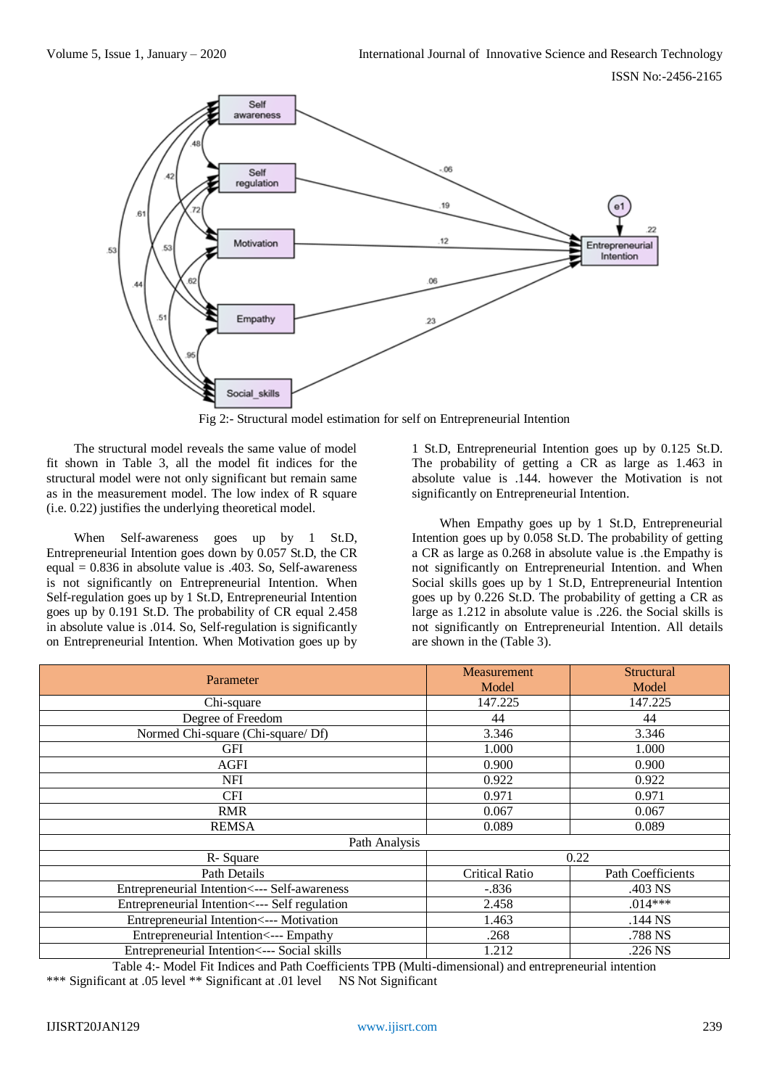

Fig 2:- Structural model estimation for self on Entrepreneurial Intention

The structural model reveals the same value of model fit shown in Table 3, all the model fit indices for the structural model were not only significant but remain same as in the measurement model. The low index of R square (i.e. 0.22) justifies the underlying theoretical model.

When Self-awareness goes up by 1 St.D, Entrepreneurial Intention goes down by 0.057 St.D, the CR equal  $= 0.836$  in absolute value is .403. So, Self-awareness is not significantly on Entrepreneurial Intention. When Self-regulation goes up by 1 St.D, Entrepreneurial Intention goes up by 0.191 St.D. The probability of CR equal 2.458 in absolute value is .014. So, Self-regulation is significantly on Entrepreneurial Intention. When Motivation goes up by

1 St.D, Entrepreneurial Intention goes up by 0.125 St.D. The probability of getting a CR as large as 1.463 in absolute value is .144. however the Motivation is not significantly on Entrepreneurial Intention.

When Empathy goes up by 1 St.D, Entrepreneurial Intention goes up by 0.058 St.D. The probability of getting a CR as large as 0.268 in absolute value is .the Empathy is not significantly on Entrepreneurial Intention. and When Social skills goes up by 1 St.D, Entrepreneurial Intention goes up by 0.226 St.D. The probability of getting a CR as large as 1.212 in absolute value is .226. the Social skills is not significantly on Entrepreneurial Intention. All details are shown in the (Table 3).

| Parameter                                      | Measurement<br>Model  | Structural<br>Model      |  |  |  |  |
|------------------------------------------------|-----------------------|--------------------------|--|--|--|--|
| Chi-square                                     | 147.225               | 147.225                  |  |  |  |  |
| Degree of Freedom                              | 44                    | 44                       |  |  |  |  |
| Normed Chi-square (Chi-square/ Df)             | 3.346                 | 3.346                    |  |  |  |  |
| <b>GFI</b>                                     | 1.000                 | 1.000                    |  |  |  |  |
| AGFI                                           | 0.900                 | 0.900                    |  |  |  |  |
| <b>NFI</b>                                     | 0.922                 | 0.922                    |  |  |  |  |
| <b>CFI</b>                                     | 0.971                 | 0.971                    |  |  |  |  |
| <b>RMR</b>                                     | 0.067                 | 0.067                    |  |  |  |  |
| <b>REMSA</b>                                   | 0.089                 | 0.089                    |  |  |  |  |
| Path Analysis                                  |                       |                          |  |  |  |  |
| R-Square                                       | 0.22                  |                          |  |  |  |  |
| Path Details                                   | <b>Critical Ratio</b> | <b>Path Coefficients</b> |  |  |  |  |
| Entrepreneurial Intention <--- Self-awareness  | $-.836$               | .403 NS                  |  |  |  |  |
| Entrepreneurial Intention <--- Self regulation | 2.458                 | $.014***$                |  |  |  |  |
| Entrepreneurial Intention <--- Motivation      | 1.463                 | $.144$ NS                |  |  |  |  |
| Entrepreneurial Intention <--- Empathy         | .268                  | .788 NS                  |  |  |  |  |
| Entrepreneurial Intention <--- Social skills   | 1.212                 | .226 NS                  |  |  |  |  |

Table 4:- Model Fit Indices and Path Coefficients TPB (Multi-dimensional) and entrepreneurial intention \*\*\* Significant at .05 level \*\* Significant at .01 level NS Not Significant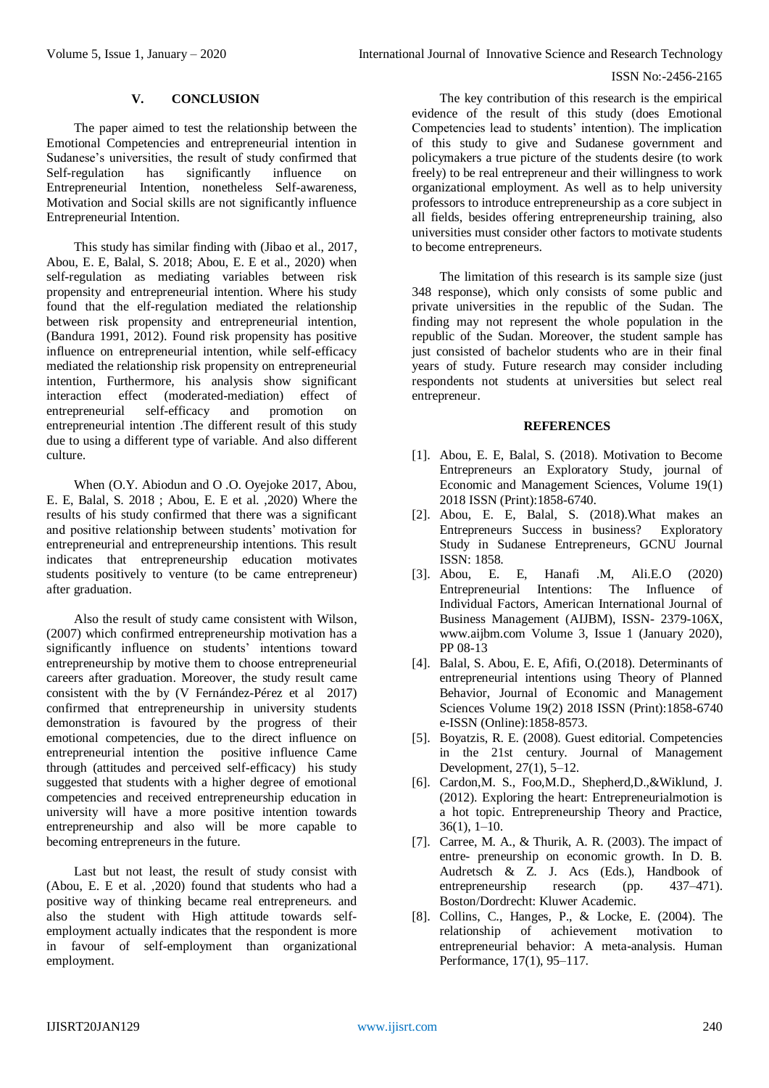# **V. CONCLUSION**

The paper aimed to test the relationship between the Emotional Competencies and entrepreneurial intention in Sudanese's universities, the result of study confirmed that<br>Self-regulation has significantly influence on Self-regulation has significantly influence on Entrepreneurial Intention, nonetheless Self-awareness, Motivation and Social skills are not significantly influence Entrepreneurial Intention.

This study has similar finding with (Jibao et al., 2017, Abou, E. E, Balal, S. 2018; Abou, E. E et al., 2020) when self-regulation as mediating variables between risk propensity and entrepreneurial intention. Where his study found that the elf-regulation mediated the relationship between risk propensity and entrepreneurial intention, (Bandura 1991, 2012). Found risk propensity has positive influence on entrepreneurial intention, while self-efficacy mediated the relationship risk propensity on entrepreneurial intention, Furthermore, his analysis show significant interaction effect (moderated-mediation) effect of entrepreneurial self-efficacy and promotion on entrepreneurial intention .The different result of this study due to using a different type of variable. And also different culture.

When (O.Y. Abiodun and O .O. Oyejoke 2017, Abou, E. E, Balal, S. 2018 ; Abou, E. E et al. ,2020) Where the results of his study confirmed that there was a significant and positive relationship between students' motivation for entrepreneurial and entrepreneurship intentions. This result indicates that entrepreneurship education motivates students positively to venture (to be came entrepreneur) after graduation.

Also the result of study came consistent with Wilson, (2007) which confirmed entrepreneurship motivation has a significantly influence on students' intentions toward entrepreneurship by motive them to choose entrepreneurial careers after graduation. Moreover, the study result came consistent with the by (V Fernández-Pérez et al 2017) confirmed that entrepreneurship in university students demonstration is favoured by the progress of their emotional competencies, due to the direct influence on entrepreneurial intention the positive influence Came through (attitudes and perceived self-efficacy) his study suggested that students with a higher degree of emotional competencies and received entrepreneurship education in university will have a more positive intention towards entrepreneurship and also will be more capable to becoming entrepreneurs in the future.

Last but not least, the result of study consist with (Abou, E. E et al. ,2020) found that students who had a positive way of thinking became real entrepreneurs. and also the student with High attitude towards selfemployment actually indicates that the respondent is more in favour of self-employment than organizational employment.

The key contribution of this research is the empirical evidence of the result of this study (does Emotional Competencies lead to students' intention). The implication of this study to give and Sudanese government and policymakers a true picture of the students desire (to work freely) to be real entrepreneur and their willingness to work organizational employment. As well as to help university professors to introduce entrepreneurship as a core subject in all fields, besides offering entrepreneurship training, also universities must consider other factors to motivate students to become entrepreneurs.

The limitation of this research is its sample size (just 348 response), which only consists of some public and private universities in the republic of the Sudan. The finding may not represent the whole population in the republic of the Sudan. Moreover, the student sample has just consisted of bachelor students who are in their final years of study. Future research may consider including respondents not students at universities but select real entrepreneur.

## **REFERENCES**

- [1]. Abou, E. E, Balal, S. (2018). [Motivation to Become](https://www.researchgate.net/publication/329276144_Motivation_to_Become_Entrepreneurs_An_Exploratory_Study) Entrepreneurs an [Exploratory Study,](https://www.researchgate.net/publication/329276144_Motivation_to_Become_Entrepreneurs_An_Exploratory_Study) journal of Economic and Management Sciences, Volume 19(1) 2018 ISSN (Print):1858-6740.
- [2]. Abou, E. E, Balal, S. (2018).What makes an Entrepreneurs Success in business? Exploratory Study in Sudanese Entrepreneurs, GCNU Journal ISSN: 1858.
- [3]. Abou, E. E, Hanafi .M, Ali.E.O (2020) Entrepreneurial Intentions: The Influence of Individual Factors, American International Journal of Business Management (AIJBM), ISSN- 2379-106X, www.aijbm.com Volume 3, Issue 1 (January 2020), PP 08-13
- [4]. Balal, S. Abou, E. E, Afifi, O.(2018). Determinants of entrepreneurial intentions using Theory of Planned Behavior, Journal of Economic and Management Sciences Volume 19(2) 2018 ISSN (Print):1858-6740 e-ISSN (Online):1858-8573.
- [5]. Boyatzis, R. E. (2008). Guest editorial. Competencies in the 21st century. Journal of Management Development, 27(1), 5–12.
- [6]. Cardon,M. S., Foo,M.D., Shepherd,D.,&Wiklund, J. (2012). Exploring the heart: Entrepreneurialmotion is a hot topic. Entrepreneurship Theory and Practice, 36(1), 1–10.
- [7]. Carree, M. A., & Thurik, A. R. (2003). The impact of entre- preneurship on economic growth. In D. B. Audretsch & Z. J. Acs (Eds.), Handbook of entrepreneurship research (pp. 437–471). Boston/Dordrecht: Kluwer Academic.
- [8]. Collins, C., Hanges, P., & Locke, E. (2004). The relationship of achievement motivation to entrepreneurial behavior: A meta-analysis. Human Performance, 17(1), 95–117.